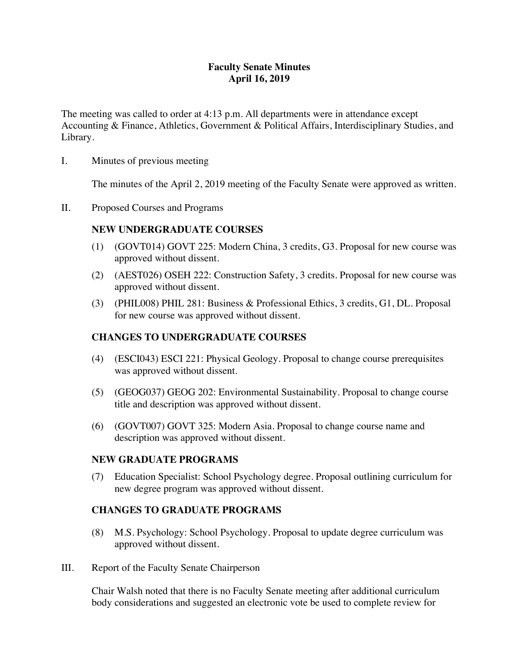## **Faculty Senate Minutes April 16, 2019**

The meeting was called to order at 4:13 p.m. All departments were in attendance except Accounting & Finance, Athletics, Government & Political Affairs, Interdisciplinary Studies, and Library.

I. Minutes of previous meeting

The minutes of the April 2, 2019 meeting of the Faculty Senate were approved as written.

II. Proposed Courses and Programs

## **NEW UNDERGRADUATE COURSES**

- (1) (GOVT014) GOVT 225: Modern China, 3 credits, G3. Proposal for new course was approved without dissent.
- (2) (AEST026) OSEH 222: Construction Safety, 3 credits. Proposal for new course was approved without dissent.
- (3) (PHIL008) PHIL 281: Business & Professional Ethics, 3 credits, G1, DL. Proposal for new course was approved without dissent.

## **CHANGES TO UNDERGRADUATE COURSES**

- (4) (ESCI043) ESCI 221: Physical Geology. Proposal to change course prerequisites was approved without dissent.
- (5) (GEOG037) GEOG 202: Environmental Sustainability. Proposal to change course title and description was approved without dissent.
- (6) (GOVT007) GOVT 325: Modern Asia. Proposal to change course name and description was approved without dissent.

### **NEW GRADUATE PROGRAMS**

(7) Education Specialist: School Psychology degree. Proposal outlining curriculum for new degree program was approved without dissent.

## **CHANGES TO GRADUATE PROGRAMS**

- (8) M.S. Psychology: School Psychology. Proposal to update degree curriculum was approved without dissent.
- III. Report of the Faculty Senate Chairperson

Chair Walsh noted that there is no Faculty Senate meeting after additional curriculum body considerations and suggested an electronic vote be used to complete review for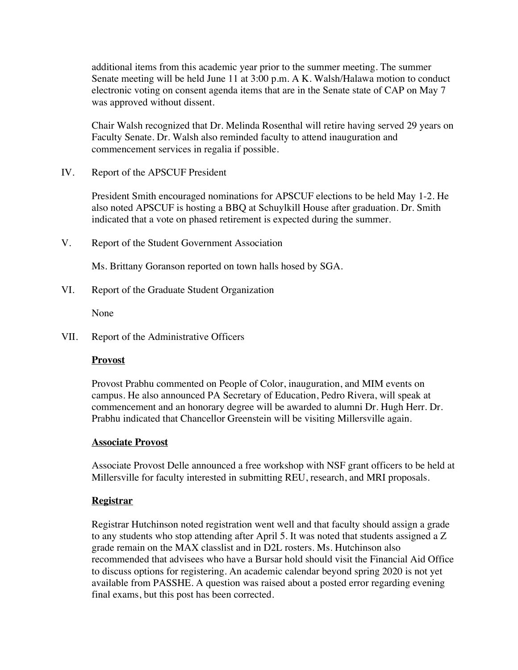additional items from this academic year prior to the summer meeting. The summer Senate meeting will be held June 11 at 3:00 p.m. A K. Walsh/Halawa motion to conduct electronic voting on consent agenda items that are in the Senate state of CAP on May 7 was approved without dissent.

Chair Walsh recognized that Dr. Melinda Rosenthal will retire having served 29 years on Faculty Senate. Dr. Walsh also reminded faculty to attend inauguration and commencement services in regalia if possible.

IV. Report of the APSCUF President

President Smith encouraged nominations for APSCUF elections to be held May 1-2. He also noted APSCUF is hosting a BBQ at Schuylkill House after graduation. Dr. Smith indicated that a vote on phased retirement is expected during the summer.

V. Report of the Student Government Association

Ms. Brittany Goranson reported on town halls hosed by SGA.

VI. Report of the Graduate Student Organization

None

VII. Report of the Administrative Officers

#### **Provost**

Provost Prabhu commented on People of Color, inauguration, and MIM events on campus. He also announced PA Secretary of Education, Pedro Rivera, will speak at commencement and an honorary degree will be awarded to alumni Dr. Hugh Herr. Dr. Prabhu indicated that Chancellor Greenstein will be visiting Millersville again.

#### **Associate Provost**

Associate Provost Delle announced a free workshop with NSF grant officers to be held at Millersville for faculty interested in submitting REU, research, and MRI proposals.

### **Registrar**

Registrar Hutchinson noted registration went well and that faculty should assign a grade to any students who stop attending after April 5. It was noted that students assigned a Z grade remain on the MAX classlist and in D2L rosters. Ms. Hutchinson also recommended that advisees who have a Bursar hold should visit the Financial Aid Office to discuss options for registering. An academic calendar beyond spring 2020 is not yet available from PASSHE. A question was raised about a posted error regarding evening final exams, but this post has been corrected.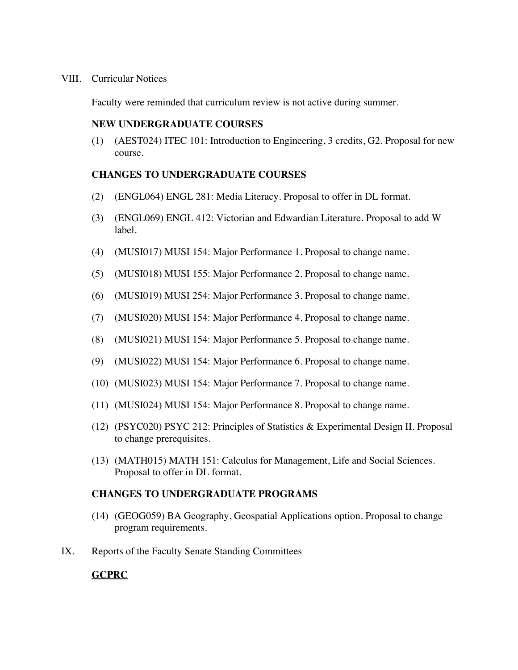#### VIII. Curricular Notices

Faculty were reminded that curriculum review is not active during summer.

### **NEW UNDERGRADUATE COURSES**

(1) (AEST024) ITEC 101: Introduction to Engineering, 3 credits, G2. Proposal for new course.

### **CHANGES TO UNDERGRADUATE COURSES**

- (2) (ENGL064) ENGL 281: Media Literacy. Proposal to offer in DL format.
- (3) (ENGL069) ENGL 412: Victorian and Edwardian Literature. Proposal to add W label.
- (4) (MUSI017) MUSI 154: Major Performance 1. Proposal to change name.
- (5) (MUSI018) MUSI 155: Major Performance 2. Proposal to change name.
- (6) (MUSI019) MUSI 254: Major Performance 3. Proposal to change name.
- (7) (MUSI020) MUSI 154: Major Performance 4. Proposal to change name.
- (8) (MUSI021) MUSI 154: Major Performance 5. Proposal to change name.
- (9) (MUSI022) MUSI 154: Major Performance 6. Proposal to change name.
- (10) (MUSI023) MUSI 154: Major Performance 7. Proposal to change name.
- (11) (MUSI024) MUSI 154: Major Performance 8. Proposal to change name.
- (12) (PSYC020) PSYC 212: Principles of Statistics & Experimental Design II. Proposal to change prerequisites.
- (13) (MATH015) MATH 151: Calculus for Management, Life and Social Sciences. Proposal to offer in DL format.

### **CHANGES TO UNDERGRADUATE PROGRAMS**

- (14) (GEOG059) BA Geography, Geospatial Applications option. Proposal to change program requirements.
- IX. Reports of the Faculty Senate Standing Committees

## **GCPRC**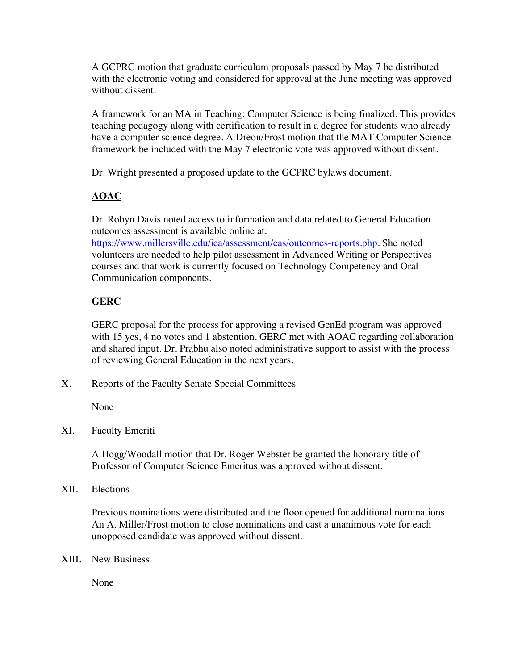A GCPRC motion that graduate curriculum proposals passed by May 7 be distributed with the electronic voting and considered for approval at the June meeting was approved without dissent.

A framework for an MA in Teaching: Computer Science is being finalized. This provides teaching pedagogy along with certification to result in a degree for students who already have a computer science degree. A Dreon/Frost motion that the MAT Computer Science framework be included with the May 7 electronic vote was approved without dissent.

Dr. Wright presented a proposed update to the GCPRC bylaws document.

# **AOAC**

Dr. Robyn Davis noted access to information and data related to General Education outcomes assessment is available online at:

https://www.millersville.edu/iea/assessment/cas/outcomes-reports.php. She noted volunteers are needed to help pilot assessment in Advanced Writing or Perspectives courses and that work is currently focused on Technology Competency and Oral Communication components.

# **GERC**

GERC proposal for the process for approving a revised GenEd program was approved with 15 yes, 4 no votes and 1 abstention. GERC met with AOAC regarding collaboration and shared input. Dr. Prabhu also noted administrative support to assist with the process of reviewing General Education in the next years.

X. Reports of the Faculty Senate Special Committees

None

XI. Faculty Emeriti

A Hogg/Woodall motion that Dr. Roger Webster be granted the honorary title of Professor of Computer Science Emeritus was approved without dissent.

XII. Elections

Previous nominations were distributed and the floor opened for additional nominations. An A. Miller/Frost motion to close nominations and cast a unanimous vote for each unopposed candidate was approved without dissent.

XIII. New Business

None